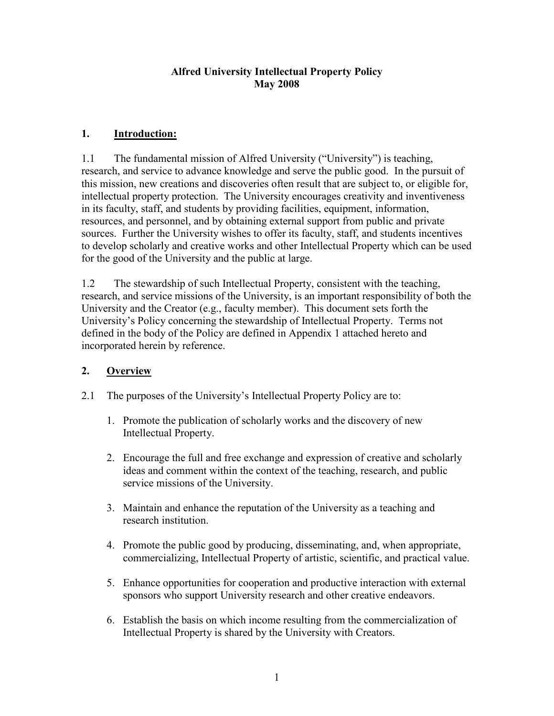### Alfred University Intellectual Property Policy May 2008

# 1. Introduction:

 research, and service to advance knowledge and serve the public good. In the pursuit of intellectual property protection. The University encourages creativity and inventiveness in its faculty, staff, and students by providing facilities, equipment, information, resources, and personnel, and by obtaining external support from public and private for the good of the University and the public at large. 1.1 The fundamental mission of Alfred University ("University") is teaching, this mission, new creations and discoveries often result that are subject to, or eligible for, sources. Further the University wishes to offer its faculty, staff, and students incentives to develop scholarly and creative works and other Intellectual Property which can be used

 research, and service missions of the University, is an important responsibility of both the 1.2 The stewardship of such Intellectual Property, consistent with the teaching, University and the Creator (e.g., faculty member). This document sets forth the University's Policy concerning the stewardship of Intellectual Property. Terms not defined in the body of the Policy are defined in Appendix 1 attached hereto and incorporated herein by reference.

# 2. Overview

- 2.1 The purposes of the University's Intellectual Property Policy are to:
	- 1. Promote the publication of scholarly works and the discovery of new Intellectual Property.
	- 2. Encourage the full and free exchange and expression of creative and scholarly ideas and comment within the context of the teaching, research, and public service missions of the University.
	- 3. Maintain and enhance the reputation of the University as a teaching and research institution.
	- 4. Promote the public good by producing, disseminating, and, when appropriate, commercializing, Intellectual Property of artistic, scientific, and practical value.
	- sponsors who support University research and other creative endeavors. 5. Enhance opportunities for cooperation and productive interaction with external
	- Intellectual Property is shared by the University with Creators. 6. Establish the basis on which income resulting from the commercialization of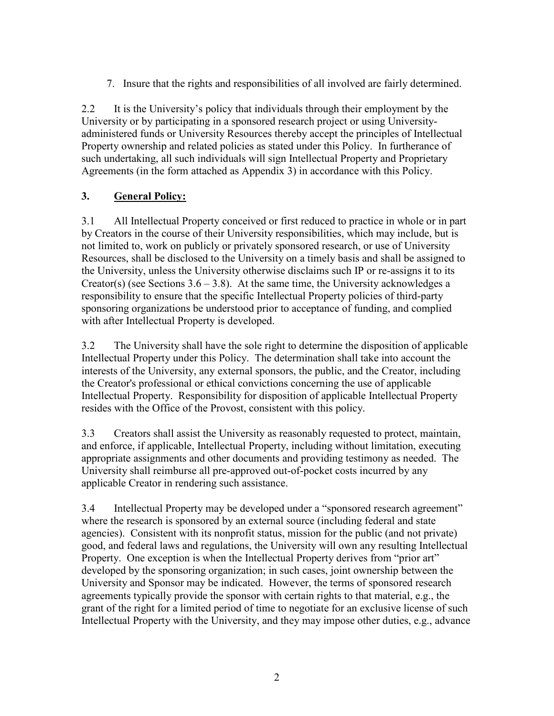7. Insure that the rights and responsibilities of all involved are fairly determined.

2.2 It is the University's policy that individuals through their employment by the University or by participating in a sponsored research project or using University- administered funds or University Resources thereby accept the principles of Intellectual Agreements (in the form attached as Appendix 3) in accordance with this Policy. Property ownership and related policies as stated under this Policy. In furtherance of such undertaking, all such individuals will sign Intellectual Property and Proprietary

## 3. General Policy:

 3.1 All Intellectual Property conceived or first reduced to practice in whole or in part not limited to, work on publicly or privately sponsored research, or use of University by Creators in the course of their University responsibilities, which may include, but is Resources, shall be disclosed to the University on a timely basis and shall be assigned to the University, unless the University otherwise disclaims such IP or re-assigns it to its Creator(s) (see Sections  $3.6 - 3.8$ ). At the same time, the University acknowledges a responsibility to ensure that the specific Intellectual Property policies of third-party sponsoring organizations be understood prior to acceptance of funding, and complied with after Intellectual Property is developed.

 resides with the Office of the Provost, consistent with this policy. 3.2 The University shall have the sole right to determine the disposition of applicable Intellectual Property under this Policy. The determination shall take into account the interests of the University, any external sponsors, the public, and the Creator, including the Creator's professional or ethical convictions concerning the use of applicable Intellectual Property. Responsibility for disposition of applicable Intellectual Property

 3.3 Creators shall assist the University as reasonably requested to protect, maintain, appropriate assignments and other documents and providing testimony as needed. The and enforce, if applicable, Intellectual Property, including without limitation, executing University shall reimburse all pre-approved out-of-pocket costs incurred by any applicable Creator in rendering such assistance.

 agencies). Consistent with its nonprofit status, mission for the public (and not private) good, and federal laws and regulations, the University will own any resulting Intellectual developed by the sponsoring organization; in such cases, joint ownership between the 3.4 Intellectual Property may be developed under a "sponsored research agreement" where the research is sponsored by an external source (including federal and state Property. One exception is when the Intellectual Property derives from "prior art" University and Sponsor may be indicated. However, the terms of sponsored research agreements typically provide the sponsor with certain rights to that material, e.g., the grant of the right for a limited period of time to negotiate for an exclusive license of such Intellectual Property with the University, and they may impose other duties, e.g., advance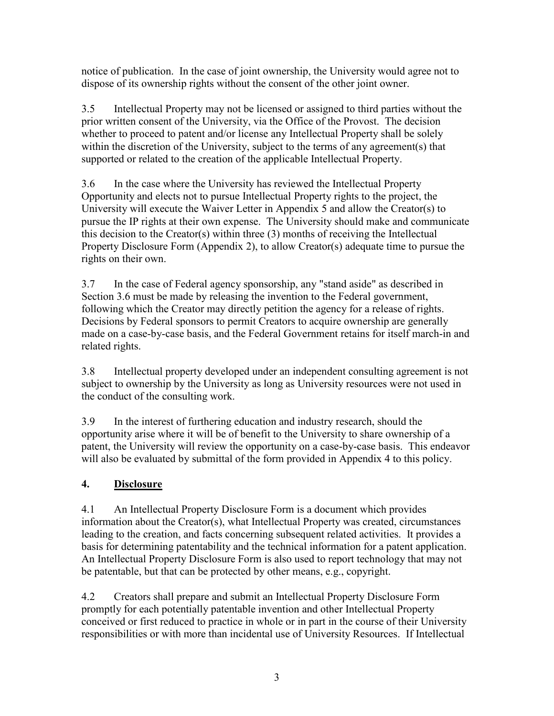dispose of its ownership rights without the consent of the other joint owner. notice of publication. In the case of joint ownership, the University would agree not to

 whether to proceed to patent and/or license any Intellectual Property shall be solely 3.5 Intellectual Property may not be licensed or assigned to third parties without the prior written consent of the University, via the Office of the Provost. The decision within the discretion of the University, subject to the terms of any agreement(s) that supported or related to the creation of the applicable Intellectual Property.

 Opportunity and elects not to pursue Intellectual Property rights to the project, the this decision to the Creator(s) within three (3) months of receiving the Intellectual Property Disclosure Form (Appendix 2), to allow Creator(s) adequate time to pursue the 3.6 In the case where the University has reviewed the Intellectual Property University will execute the Waiver Letter in Appendix 5 and allow the Creator(s) to pursue the IP rights at their own expense. The University should make and communicate rights on their own.

 3.7 In the case of Federal agency sponsorship, any "stand aside" as described in Section 3.6 must be made by releasing the invention to the Federal government, Decisions by Federal sponsors to permit Creators to acquire ownership are generally following which the Creator may directly petition the agency for a release of rights. made on a case-by-case basis, and the Federal Government retains for itself march-in and related rights.

 subject to ownership by the University as long as University resources were not used in 3.8 Intellectual property developed under an independent consulting agreement is not the conduct of the consulting work.

 opportunity arise where it will be of benefit to the University to share ownership of a will also be evaluated by submittal of the form provided in Appendix 4 to this policy. 3.9 In the interest of furthering education and industry research, should the patent, the University will review the opportunity on a case-by-case basis. This endeavor

# 4. Disclosure

 leading to the creation, and facts concerning subsequent related activities. It provides a 4.1 An Intellectual Property Disclosure Form is a document which provides information about the Creator(s), what Intellectual Property was created, circumstances basis for determining patentability and the technical information for a patent application. An Intellectual Property Disclosure Form is also used to report technology that may not be patentable, but that can be protected by other means, e.g., copyright.

 4.2 Creators shall prepare and submit an Intellectual Property Disclosure Form responsibilities or with more than incidental use of University Resources. If Intellectual promptly for each potentially patentable invention and other Intellectual Property conceived or first reduced to practice in whole or in part in the course of their University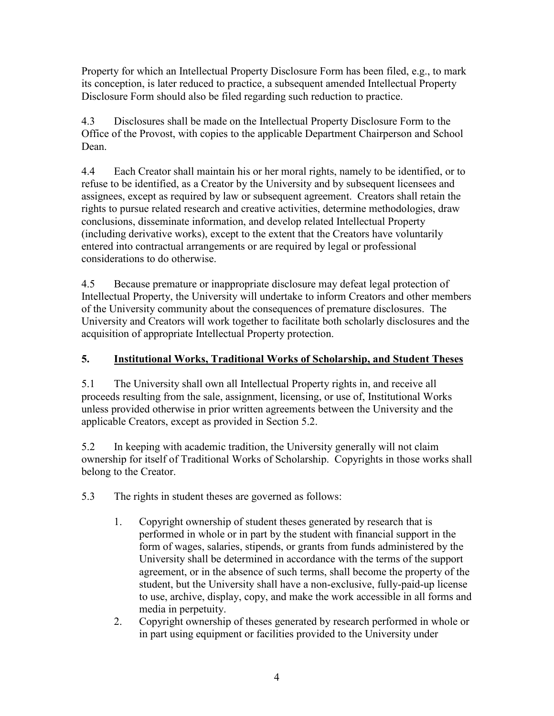Property for which an Intellectual Property Disclosure Form has been filed, e.g., to mark its conception, is later reduced to practice, a subsequent amended Intellectual Property Disclosure Form should also be filed regarding such reduction to practice.

 4.3 Disclosures shall be made on the Intellectual Property Disclosure Form to the Office of the Provost, with copies to the applicable Department Chairperson and School Dean.

 refuse to be identified, as a Creator by the University and by subsequent licensees and entered into contractual arrangements or are required by legal or professional 4.4 Each Creator shall maintain his or her moral rights, namely to be identified, or to assignees, except as required by law or subsequent agreement. Creators shall retain the rights to pursue related research and creative activities, determine methodologies, draw conclusions, disseminate information, and develop related Intellectual Property (including derivative works), except to the extent that the Creators have voluntarily considerations to do otherwise.

 4.5 Because premature or inappropriate disclosure may defeat legal protection of Intellectual Property, the University will undertake to inform Creators and other members of the University community about the consequences of premature disclosures. The University and Creators will work together to facilitate both scholarly disclosures and the acquisition of appropriate Intellectual Property protection.

## 5. Institutional Works, Traditional Works of Scholarship, and Student Theses

 proceeds resulting from the sale, assignment, licensing, or use of, Institutional Works unless provided otherwise in prior written agreements between the University and the 5.1 The University shall own all Intellectual Property rights in, and receive all applicable Creators, except as provided in Section 5.2.

5.2 In keeping with academic tradition, the University generally will not claim ownership for itself of Traditional Works of Scholarship. Copyrights in those works shall belong to the Creator.

5.3 The rights in student theses are governed as follows:

- performed in whole or in part by the student with financial support in the agreement, or in the absence of such terms, shall become the property of the 1. Copyright ownership of student theses generated by research that is form of wages, salaries, stipends, or grants from funds administered by the University shall be determined in accordance with the terms of the support student, but the University shall have a non-exclusive, fully-paid-up license to use, archive, display, copy, and make the work accessible in all forms and media in perpetuity.
- 2. Copyright ownership of theses generated by research performed in whole or in part using equipment or facilities provided to the University under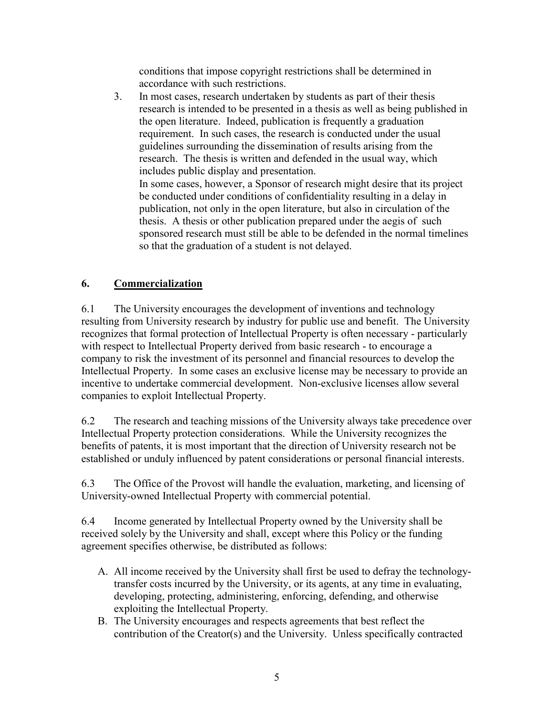conditions that impose copyright restrictions shall be determined in accordance with such restrictions.

 research is intended to be presented in a thesis as well as being published in In some cases, however, a Sponsor of research might desire that its project 3. In most cases, research undertaken by students as part of their thesis the open literature. Indeed, publication is frequently a graduation requirement. In such cases, the research is conducted under the usual guidelines surrounding the dissemination of results arising from the research. The thesis is written and defended in the usual way, which includes public display and presentation.

be conducted under conditions of confidentiality resulting in a delay in publication, not only in the open literature, but also in circulation of the thesis. A thesis or other publication prepared under the aegis of such sponsored research must still be able to be defended in the normal timelines so that the graduation of a student is not delayed.

# 6. Commercialization

 recognizes that formal protection of Intellectual Property is often necessary - particularly 6.1 The University encourages the development of inventions and technology resulting from University research by industry for public use and benefit. The University with respect to Intellectual Property derived from basic research - to encourage a company to risk the investment of its personnel and financial resources to develop the Intellectual Property. In some cases an exclusive license may be necessary to provide an incentive to undertake commercial development. Non-exclusive licenses allow several companies to exploit Intellectual Property.

 benefits of patents, it is most important that the direction of University research not be 6.2 The research and teaching missions of the University always take precedence over Intellectual Property protection considerations. While the University recognizes the established or unduly influenced by patent considerations or personal financial interests.

 University-owned Intellectual Property with commercial potential. 6.3 The Office of the Provost will handle the evaluation, marketing, and licensing of

 6.4 Income generated by Intellectual Property owned by the University shall be received solely by the University and shall, except where this Policy or the funding agreement specifies otherwise, be distributed as follows:

- A. All income received by the University shall first be used to defray the technologytransfer costs incurred by the University, or its agents, at any time in evaluating, developing, protecting, administering, enforcing, defending, and otherwise exploiting the Intellectual Property.
- B. The University encourages and respects agreements that best reflect the contribution of the Creator(s) and the University. Unless specifically contracted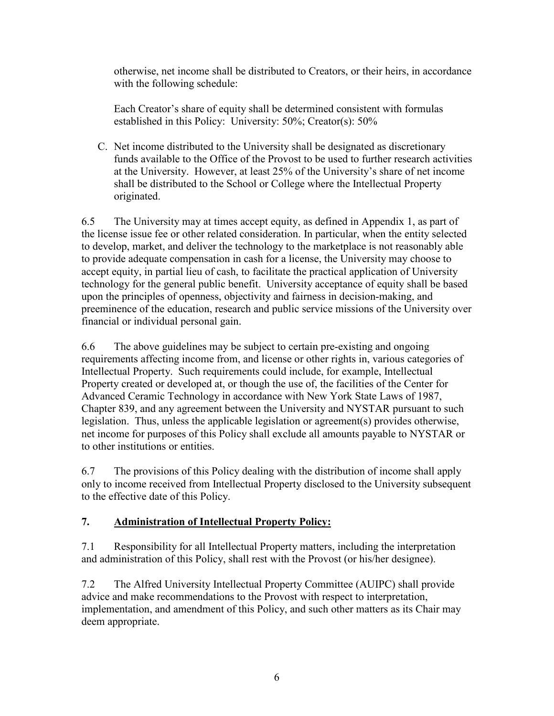otherwise, net income shall be distributed to Creators, or their heirs, in accordance with the following schedule:

 Each Creator's share of equity shall be determined consistent with formulas established in this Policy: University: 50%; Creator(s): 50%

C. Net income distributed to the University shall be designated as discretionary funds available to the Office of the Provost to be used to further research activities at the University. However, at least 25% of the University's share of net income shall be distributed to the School or College where the Intellectual Property originated.

 6.5 The University may at times accept equity, as defined in Appendix 1, as part of accept equity, in partial lieu of cash, to facilitate the practical application of University technology for the general public benefit. University acceptance of equity shall be based the license issue fee or other related consideration. In particular, when the entity selected to develop, market, and deliver the technology to the marketplace is not reasonably able to provide adequate compensation in cash for a license, the University may choose to upon the principles of openness, objectivity and fairness in decision-making, and preeminence of the education, research and public service missions of the University over financial or individual personal gain.

 Property created or developed at, or though the use of, the facilities of the Center for Advanced Ceramic Technology in accordance with New York State Laws of 1987, Chapter 839, and any agreement between the University and NYSTAR pursuant to such net income for purposes of this Policy shall exclude all amounts payable to NYSTAR or 6.6 The above guidelines may be subject to certain pre-existing and ongoing requirements affecting income from, and license or other rights in, various categories of Intellectual Property. Such requirements could include, for example, Intellectual legislation. Thus, unless the applicable legislation or agreement(s) provides otherwise, to other institutions or entities.

6.7 The provisions of this Policy dealing with the distribution of income shall apply only to income received from Intellectual Property disclosed to the University subsequent to the effective date of this Policy.

## 7. Administration of Intellectual Property Policy:

 7.1 Responsibility for all Intellectual Property matters, including the interpretation and administration of this Policy, shall rest with the Provost (or his/her designee).

 7.2 The Alfred University Intellectual Property Committee (AUIPC) shall provide advice and make recommendations to the Provost with respect to interpretation, implementation, and amendment of this Policy, and such other matters as its Chair may deem appropriate.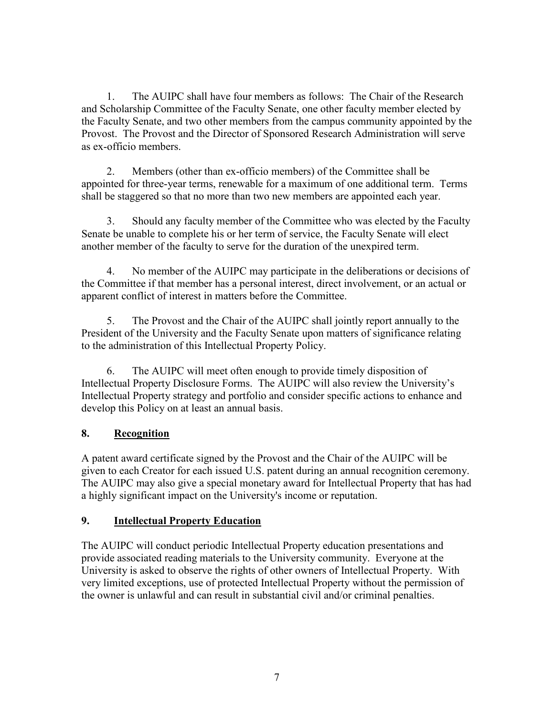1. The AUIPC shall have four members as follows: The Chair of the Research and Scholarship Committee of the Faculty Senate, one other faculty member elected by the Faculty Senate, and two other members from the campus community appointed by the Provost. The Provost and the Director of Sponsored Research Administration will serve as ex-officio members.

 2. Members (other than ex-officio members) of the Committee shall be appointed for three-year terms, renewable for a maximum of one additional term. Terms shall be staggered so that no more than two new members are appointed each year.

 Senate be unable to complete his or her term of service, the Faculty Senate will elect 3. Should any faculty member of the Committee who was elected by the Faculty another member of the faculty to serve for the duration of the unexpired term.

 4. No member of the AUIPC may participate in the deliberations or decisions of apparent conflict of interest in matters before the Committee. the Committee if that member has a personal interest, direct involvement, or an actual or

 to the administration of this Intellectual Property Policy. 5. The Provost and the Chair of the AUIPC shall jointly report annually to the President of the University and the Faculty Senate upon matters of significance relating

 develop this Policy on at least an annual basis. 6. The AUIPC will meet often enough to provide timely disposition of Intellectual Property Disclosure Forms. The AUIPC will also review the University's Intellectual Property strategy and portfolio and consider specific actions to enhance and

## 8. Recognition

 A patent award certificate signed by the Provost and the Chair of the AUIPC will be given to each Creator for each issued U.S. patent during an annual recognition ceremony. The AUIPC may also give a special monetary award for Intellectual Property that has had a highly significant impact on the University's income or reputation.

## 9. Intellectual Property Education

 The AUIPC will conduct periodic Intellectual Property education presentations and University is asked to observe the rights of other owners of Intellectual Property. With provide associated reading materials to the University community. Everyone at the very limited exceptions, use of protected Intellectual Property without the permission of the owner is unlawful and can result in substantial civil and/or criminal penalties.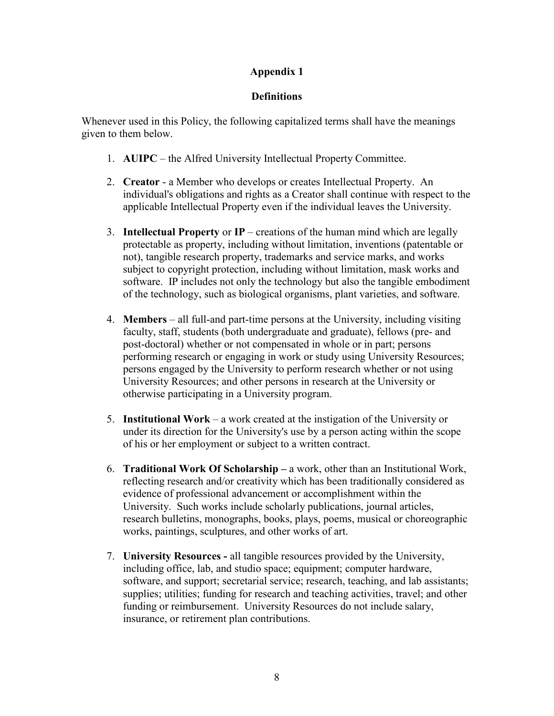### **Definitions**

 given to them below. Whenever used in this Policy, the following capitalized terms shall have the meanings

- 1. AUIPC the Alfred University Intellectual Property Committee.
- 2. Creator a Member who develops or creates Intellectual Property. An individual's obligations and rights as a Creator shall continue with respect to the applicable Intellectual Property even if the individual leaves the University.
- protectable as property, including without limitation, inventions (patentable or software. IP includes not only the technology but also the tangible embodiment 3. **Intellectual Property or IP** – creations of the human mind which are legally not), tangible research property, trademarks and service marks, and works subject to copyright protection, including without limitation, mask works and of the technology, such as biological organisms, plant varieties, and software.
- post-doctoral) whether or not compensated in whole or in part; persons 4. Members – all full-and part-time persons at the University, including visiting faculty, staff, students (both undergraduate and graduate), fellows (pre- and performing research or engaging in work or study using University Resources; persons engaged by the University to perform research whether or not using University Resources; and other persons in research at the University or otherwise participating in a University program.
- under its direction for the University's use by a person acting within the scope 5. Institutional Work – a work created at the instigation of the University or of his or her employment or subject to a written contract.
- works, paintings, sculptures, and other works of art. 6. Traditional Work Of Scholarship – a work, other than an Institutional Work, reflecting research and/or creativity which has been traditionally considered as evidence of professional advancement or accomplishment within the University. Such works include scholarly publications, journal articles, research bulletins, monographs, books, plays, poems, musical or choreographic
- software, and support; secretarial service; research, teaching, and lab assistants; insurance, or retirement plan contributions. 7. University Resources - all tangible resources provided by the University, including office, lab, and studio space; equipment; computer hardware, supplies; utilities; funding for research and teaching activities, travel; and other funding or reimbursement. University Resources do not include salary,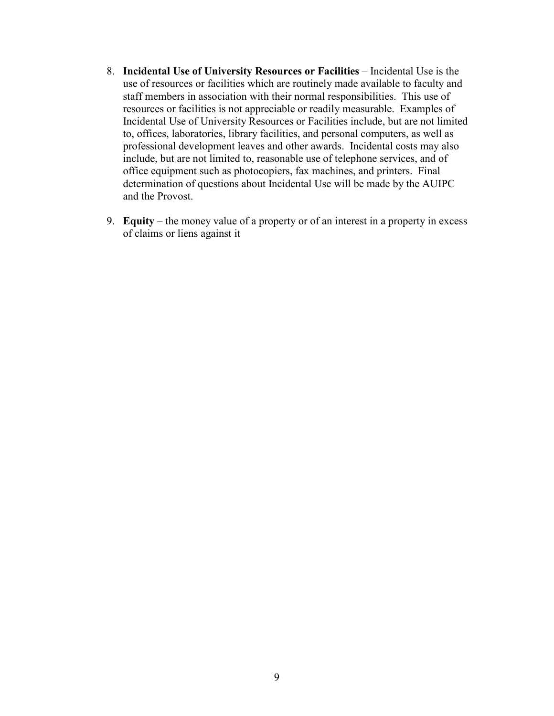- 8. Incidental Use of University Resources or Facilities Incidental Use is the determination of questions about Incidental Use will be made by the AUIPC use of resources or facilities which are routinely made available to faculty and staff members in association with their normal responsibilities. This use of resources or facilities is not appreciable or readily measurable. Examples of Incidental Use of University Resources or Facilities include, but are not limited to, offices, laboratories, library facilities, and personal computers, as well as professional development leaves and other awards. Incidental costs may also include, but are not limited to, reasonable use of telephone services, and of office equipment such as photocopiers, fax machines, and printers. Final and the Provost.
- 9. Equity the money value of a property or of an interest in a property in excess of claims or liens against it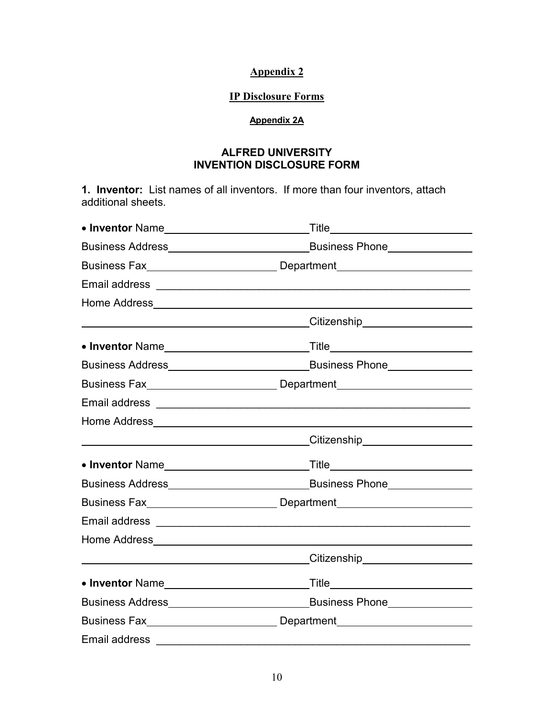#### IP Disclosure Forms

#### Appendix 2A

### ALFRED UNIVERSITY INVENTION DISCLOSURE FORM

 1. Inventor: List names of all inventors. If more than four inventors, attach additional sheets.

| Business Fax___________________________________Department_______________________ |
|----------------------------------------------------------------------------------|
|                                                                                  |
|                                                                                  |
|                                                                                  |
|                                                                                  |
|                                                                                  |
|                                                                                  |
|                                                                                  |
|                                                                                  |
|                                                                                  |
|                                                                                  |
|                                                                                  |
|                                                                                  |
|                                                                                  |
|                                                                                  |
|                                                                                  |
|                                                                                  |
|                                                                                  |
|                                                                                  |
|                                                                                  |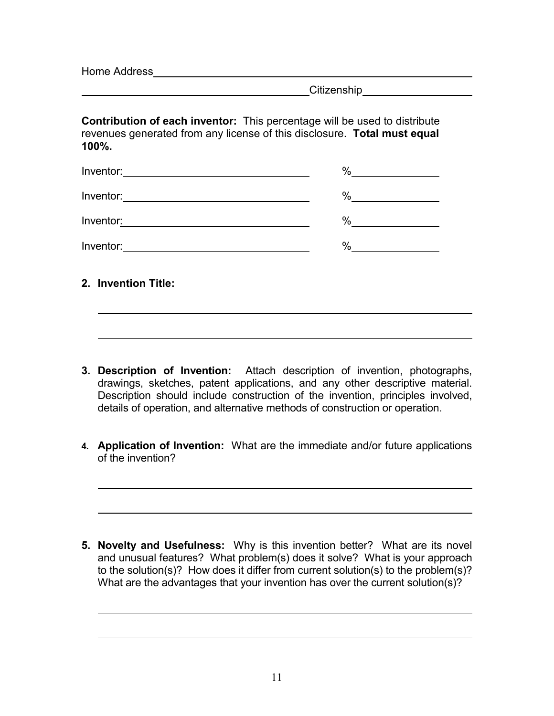Home Address\_

l

**Citizenship Constanting** 

 Contribution of each inventor: This percentage will be used to distribute revenues generated from any license of this disclosure. Total must equal 100%.

|                                                                                                                                    | %<br>the company of the company of the company |
|------------------------------------------------------------------------------------------------------------------------------------|------------------------------------------------|
| Inventor: $\qquad \qquad$                                                                                                          | %                                              |
| Inventor:<br><u> 1989 - Johann Harry Harry Harry Harry Harry Harry Harry Harry Harry Harry Harry Harry Harry Harry Harry Harry</u> | %                                              |
|                                                                                                                                    | $\%$                                           |
| 2. Invention Title:                                                                                                                |                                                |

- 3. Description of Invention: Attach description of invention, photographs, drawings, sketches, patent applications, and any other descriptive material. Description should include construction of the invention, principles involved, details of operation, and alternative methods of construction or operation.
- 4. Application of Invention: What are the immediate and/or future applications of the invention?

5. Novelty and Usefulness: Why is this invention better? What are its novel and unusual features? What problem(s) does it solve? What is your approach to the solution(s)? How does it differ from current solution(s) to the problem(s)? What are the advantages that your invention has over the current solution(s)?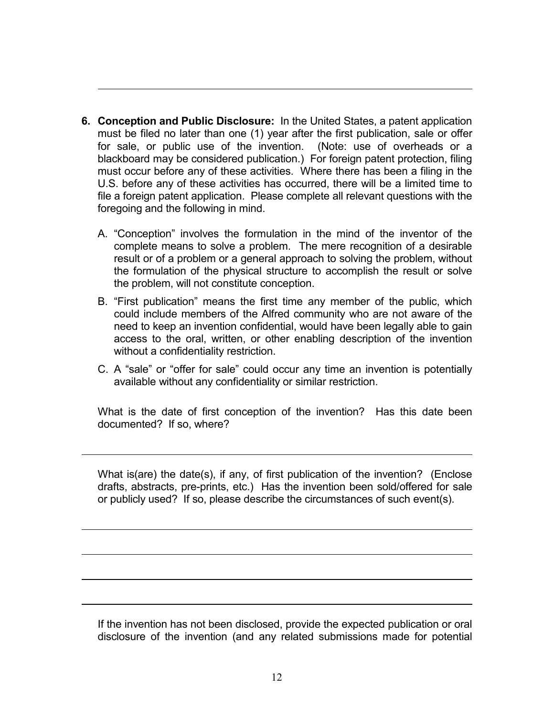- 6. Conception and Public Disclosure: In the United States, a patent application must be filed no later than one (1) year after the first publication, sale or offer for sale, or public use of the invention. (Note: use of overheads or a blackboard may be considered publication.) For foreign patent protection, filing must occur before any of these activities. Where there has been a filing in the U.S. before any of these activities has occurred, there will be a limited time to file a foreign patent application. Please complete all relevant questions with the foregoing and the following in mind.
	- A. "Conception" involves the formulation in the mind of the inventor of the complete means to solve a problem. The mere recognition of a desirable result or of a problem or a general approach to solving the problem, without the formulation of the physical structure to accomplish the result or solve the problem, will not constitute conception.
	- B. "First publication" means the first time any member of the public, which could include members of the Alfred community who are not aware of the need to keep an invention confidential, would have been legally able to gain access to the oral, written, or other enabling description of the invention without a confidentiality restriction.
	- C. A "sale" or "offer for sale" could occur any time an invention is potentially available without any confidentiality or similar restriction.

 documented? If so, where? What is the date of first conception of the invention? Has this date been

l

 $\overline{a}$ 

 $\overline{a}$ 

 $\overline{a}$ 

 $\overline{a}$ 

 drafts, abstracts, pre-prints, etc.) Has the invention been sold/offered for sale or publicly used? If so, please describe the circumstances of such event(s). What is(are) the date(s), if any, of first publication of the invention? (Enclose

 disclosure of the invention (and any related submissions made for potential If the invention has not been disclosed, provide the expected publication or oral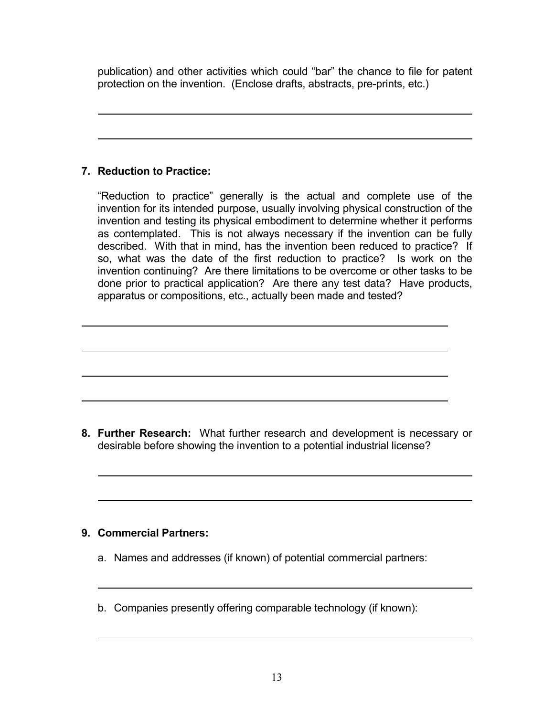publication) and other activities which could "bar" the chance to file for patent protection on the invention. (Enclose drafts, abstracts, pre-prints, etc.)

## 7. Reduction to Practice:

 $\overline{a}$ 

 $\overline{a}$ 

 "Reduction to practice" generally is the actual and complete use of the invention for its intended purpose, usually involving physical construction of the invention and testing its physical embodiment to determine whether it performs as contemplated. This is not always necessary if the invention can be fully described. With that in mind, has the invention been reduced to practice? If so, what was the date of the first reduction to practice? Is work on the invention continuing? Are there limitations to be overcome or other tasks to be done prior to practical application? Are there any test data? Have products, apparatus or compositions, etc., actually been made and tested?

8. Further Research: What further research and development is necessary or desirable before showing the invention to a potential industrial license?

## 9. Commercial Partners:

- a. Names and addresses (if known) of potential commercial partners:
- b. Companies presently offering comparable technology (if known):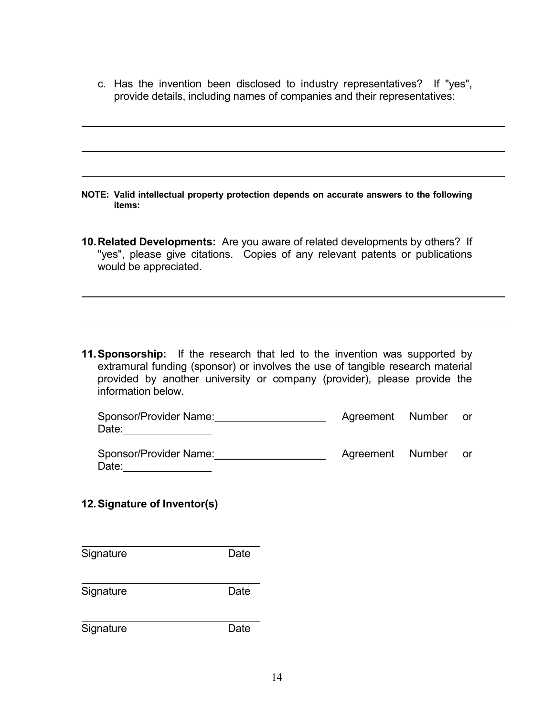c. Has the invention been disclosed to industry representatives? If "yes", provide details, including names of companies and their representatives:

- NOTE: Valid intellectual property protection depends on accurate answers to the following items:
- 10. Related Developments: Are you aware of related developments by others? If "yes", please give citations. Copies of any relevant patents or publications would be appreciated.

**11. Sponsorship:** If the research that led to the invention was supported by extramural funding (sponsor) or involves the use of tangible research material provided by another university or company (provider), please provide the information below.

| Sponsor/Provider Name: | Agreement Number |  |
|------------------------|------------------|--|
| Date:                  |                  |  |

| Date:                           |                  |      |
|---------------------------------|------------------|------|
| Sponsor/Provider Name:<br>Date: | Agreement Number | or o |

## 12.Signature of Inventor(s)

| Signature | Date |
|-----------|------|
| Signature | Date |
|           |      |
| Signature | Date |

 $\overline{a}$ 

 $\overline{a}$ 

 $\overline{a}$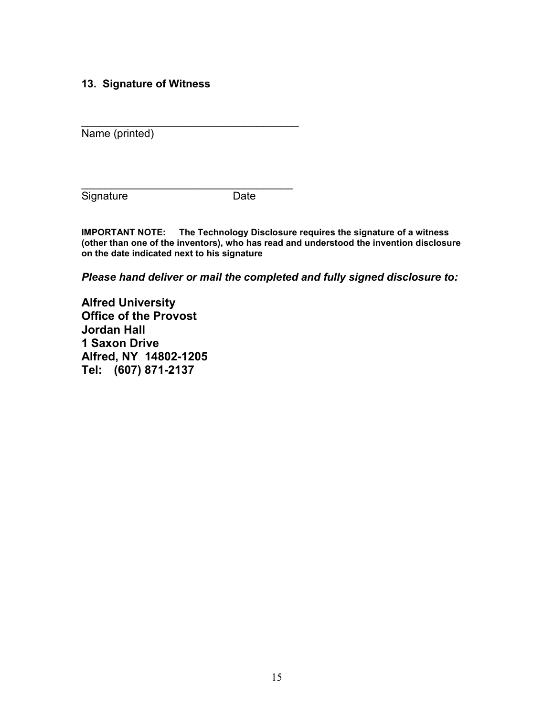### 13. Signature of Witness

 $\_$ 

 $\_$ 

Name (printed)

Signature **Date** 

 IMPORTANT NOTE: The Technology Disclosure requires the signature of a witness (other than one of the inventors), who has read and understood the invention disclosure on the date indicated next to his signature

Please hand deliver or mail the completed and fully signed disclosure to:

 Alfred University Office of the Provost **Jordan** Hall 1 Saxon Drive Alfred, NY 14802-1205 Tel: (607) 871-2137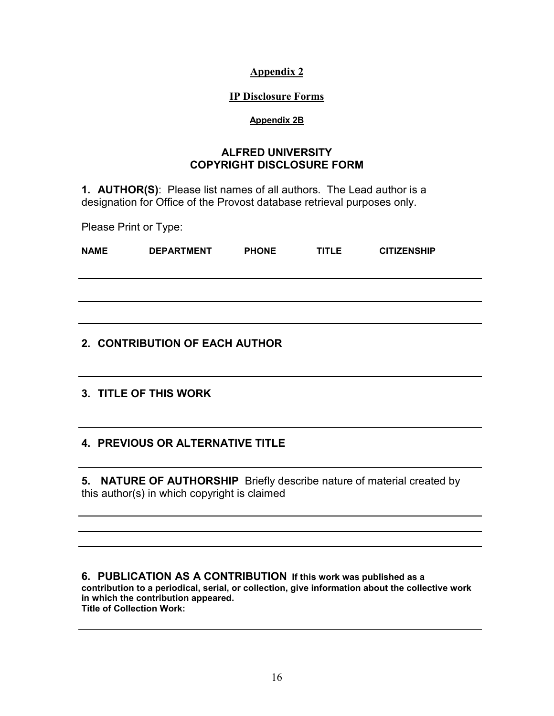#### IP Disclosure Forms

#### Appendix 2B

#### COPYRIGHT DISCLOSURE FORM ALFRED UNIVERSITY

**1. AUTHOR(S):** Please list names of all authors. The Lead author is a designation for Office of the Provost database retrieval purposes only.

Please Print or Type:

| <b>NAME</b> | <b>DEPARTMENT</b> | <b>PHONE</b> | <b>TITLE</b> | <b>CITIZENSHIP</b> |
|-------------|-------------------|--------------|--------------|--------------------|
|             |                   |              |              |                    |
|             |                   |              |              |                    |
|             |                   |              |              |                    |

## 2. CONTRIBUTION OF EACH AUTHOR

### 3. TITLE OF THIS WORK

## 4. PREVIOUS OR ALTERNATIVE TITLE

5. NATURE OF AUTHORSHIP Briefly describe nature of material created by this author(s) in which copyright is claimed

 6. PUBLICATION AS A CONTRIBUTION If this work was published as a contribution to a periodical, serial, or collection, give information about the collective work in which the contribution appeared. Title of Collection Work: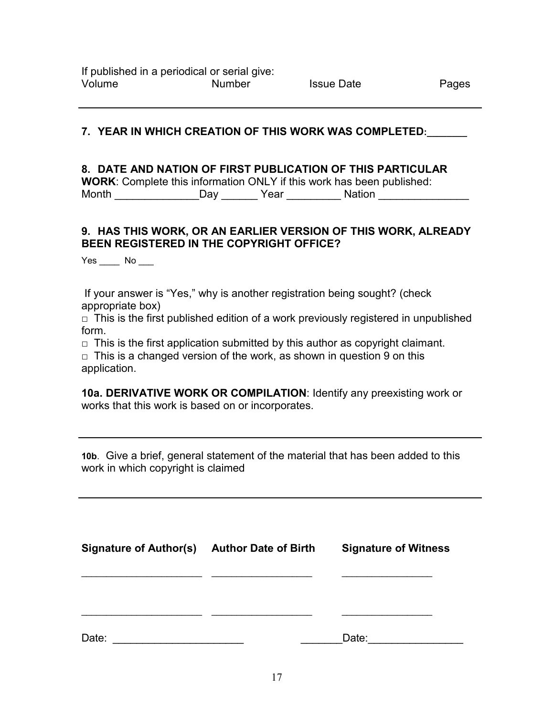### 7. YEAR IN WHICH CREATION OF THIS WORK WAS COMPLETED:\_\_\_\_\_\_\_\_

### 8. DATE AND NATION OF FIRST PUBLICATION OF THIS PARTICULAR

WORK: Complete this information ONLY if this work has been published: Month \_\_\_\_\_\_\_\_\_\_\_\_\_\_\_\_\_Day \_\_\_\_\_\_\_ Year \_\_\_\_\_\_\_\_\_\_\_ Nation \_\_\_\_\_\_\_\_\_\_\_\_\_\_\_\_\_\_\_\_\_

### 9. HAS THIS WORK, OR AN EARLIER VERSION OF THIS WORK, ALREADY BEEN REGISTERED IN THE COPYRIGHT OFFICE?

 $Yes \_\_\_$  No  $\_\_\_\$ 

 If your answer is "Yes," why is another registration being sought? (check appropriate box)

 $\Box$  This is the first published edition of a work previously registered in unpublished form.

 $\Box$  This is the first application submitted by this author as copyright claimant.

 $\Box$  This is a changed version of the work, as shown in question 9 on this application.

10a. DERIVATIVE WORK OR COMPILATION: Identify any preexisting work or works that this work is based on or incorporates.

 10b. Give a brief, general statement of the material that has been added to this work in which copyright is claimed

| Signature of Author(s) Author Date of Birth | <b>Signature of Witness</b> |
|---------------------------------------------|-----------------------------|
|                                             |                             |
|                                             |                             |
| Date:                                       | Date:                       |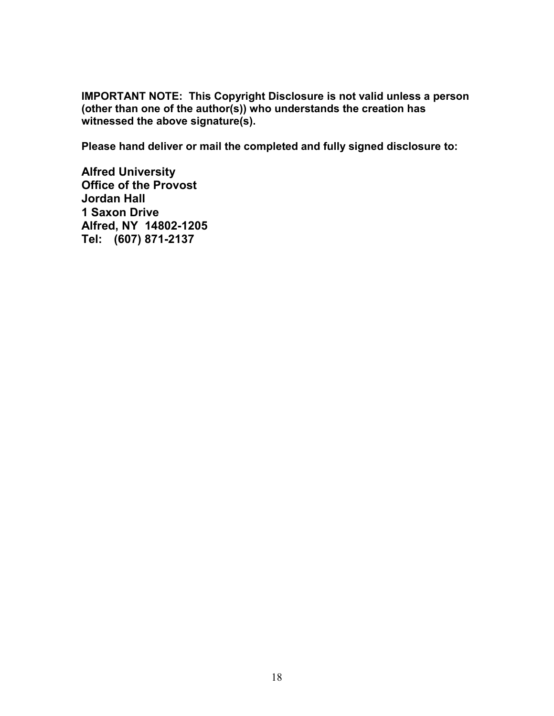IMPORTANT NOTE: This Copyright Disclosure is not valid unless a person (other than one of the author(s)) who understands the creation has witnessed the above signature(s).

Please hand deliver or mail the completed and fully signed disclosure to:

 Alfred University Office of the Provost **Jordan** Hall 1 Saxon Drive Alfred, NY 14802-1205 Tel: (607) 871-2137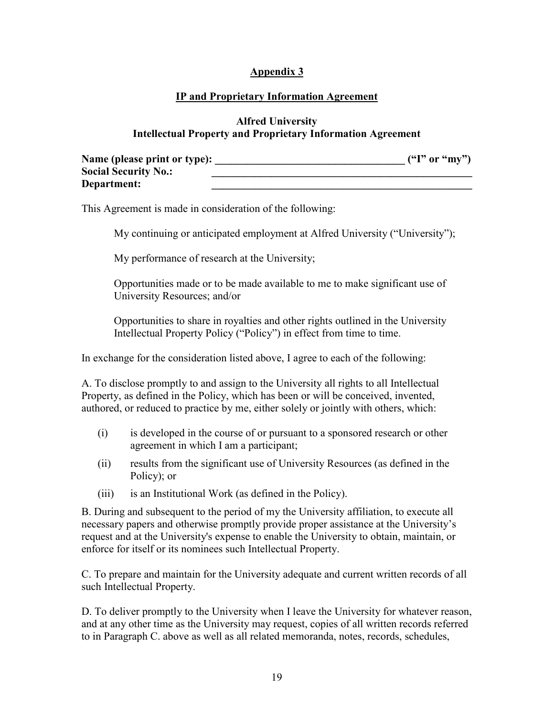### IP and Proprietary Information Agreement

#### Alfred University Intellectual Property and Proprietary Information Agreement

| Name (please print or type): | ('T' or "mv") |
|------------------------------|---------------|
| <b>Social Security No.:</b>  |               |
| Department:                  |               |

This Agreement is made in consideration of the following:

My continuing or anticipated employment at Alfred University ("University");

My performance of research at the University;

Opportunities made or to be made available to me to make significant use of University Resources; and/or

 Opportunities to share in royalties and other rights outlined in the University Intellectual Property Policy ("Policy") in effect from time to time.

In exchange for the consideration listed above, I agree to each of the following:

 A. To disclose promptly to and assign to the University all rights to all Intellectual Property, as defined in the Policy, which has been or will be conceived, invented, authored, or reduced to practice by me, either solely or jointly with others, which:

- agreement in which I am a participant; (i) is developed in the course of or pursuant to a sponsored research or other
- (ii) results from the significant use of University Resources (as defined in the Policy); or
- (iii) is an Institutional Work (as defined in the Policy).

 B. During and subsequent to the period of my the University affiliation, to execute all necessary papers and otherwise promptly provide proper assistance at the University's request and at the University's expense to enable the University to obtain, maintain, or enforce for itself or its nominees such Intellectual Property.

C. To prepare and maintain for the University adequate and current written records of all such Intellectual Property.

D. To deliver promptly to the University when I leave the University for whatever reason, and at any other time as the University may request, copies of all written records referred to in Paragraph C. above as well as all related memoranda, notes, records, schedules,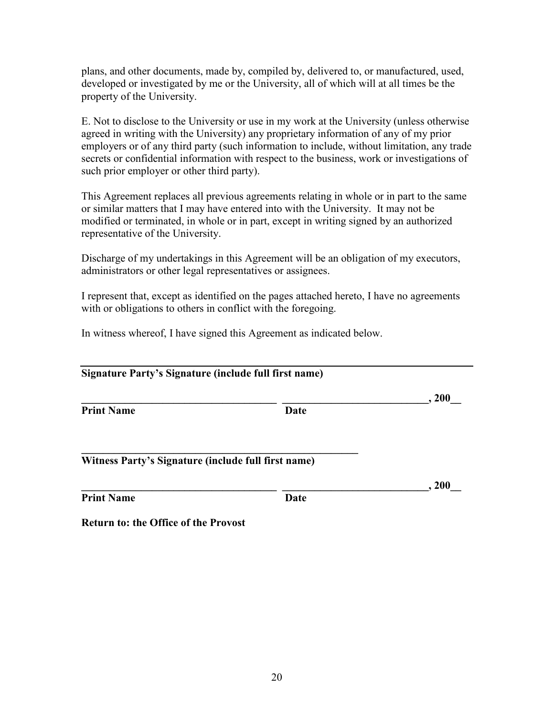developed or investigated by me or the University, all of which will at all times be the property of the University. plans, and other documents, made by, compiled by, delivered to, or manufactured, used,

 agreed in writing with the University) any proprietary information of any of my prior E. Not to disclose to the University or use in my work at the University (unless otherwise employers or of any third party (such information to include, without limitation, any trade secrets or confidential information with respect to the business, work or investigations of such prior employer or other third party).

 or similar matters that I may have entered into with the University. It may not be representative of the University. This Agreement replaces all previous agreements relating in whole or in part to the same modified or terminated, in whole or in part, except in writing signed by an authorized

 Discharge of my undertakings in this Agreement will be an obligation of my executors, administrators or other legal representatives or assignees.

 I represent that, except as identified on the pages attached hereto, I have no agreements with or obligations to others in conflict with the foregoing.

In witness whereof, I have signed this Agreement as indicated below.

| Signature Party's Signature (include full first name) |      |      |
|-------------------------------------------------------|------|------|
|                                                       |      | .200 |
| <b>Print Name</b>                                     | Date |      |
| Witness Party's Signature (include full first name)   |      |      |
|                                                       |      | .200 |
| <b>Print Name</b>                                     | Date |      |
| <b>Return to: the Office of the Provost</b>           |      |      |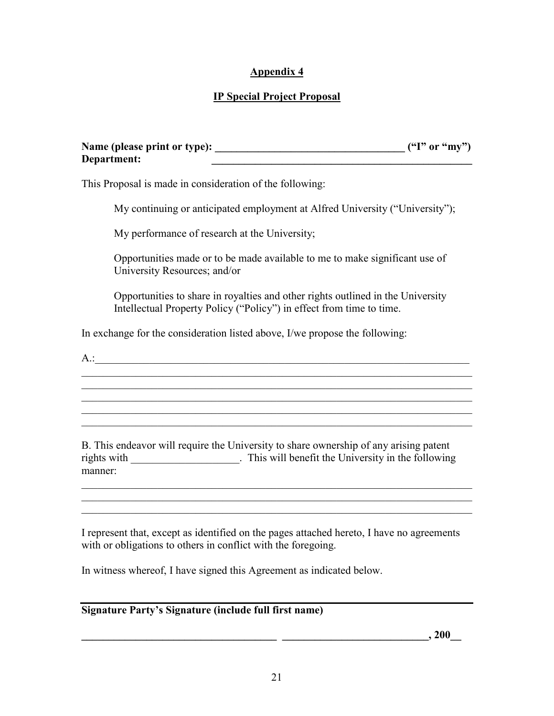## IP Special Project Proposal

| Name (please print or type): | ('T" or "my") |
|------------------------------|---------------|
| Department:                  |               |

This Proposal is made in consideration of the following:

My continuing or anticipated employment at Alfred University ("University");

My performance of research at the University;

Opportunities made or to be made available to me to make significant use of University Resources; and/or

 Opportunities to share in royalties and other rights outlined in the University Intellectual Property Policy ("Policy") in effect from time to time.

 $\mathcal{L}_\text{max} = \mathcal{L}_\text{max} = \mathcal{L}_\text{max} = \mathcal{L}_\text{max} = \mathcal{L}_\text{max} = \mathcal{L}_\text{max} = \mathcal{L}_\text{max} = \mathcal{L}_\text{max} = \mathcal{L}_\text{max} = \mathcal{L}_\text{max} = \mathcal{L}_\text{max} = \mathcal{L}_\text{max} = \mathcal{L}_\text{max} = \mathcal{L}_\text{max} = \mathcal{L}_\text{max} = \mathcal{L}_\text{max} = \mathcal{L}_\text{max} = \mathcal{L}_\text{max} = \mathcal{$ 

In exchange for the consideration listed above, I/we propose the following:

 $A$ .:

 B. This endeavor will require the University to share ownership of any arising patent rights with \_\_\_\_\_\_\_\_\_\_\_\_\_\_\_\_\_\_\_\_. This will benefit the University in the following manner:

 $\_$ 

 $\_$ 

 $\_$  $\_$  $\_$ 

 I represent that, except as identified on the pages attached hereto, I have no agreements with or obligations to others in conflict with the foregoing.

In witness whereof, I have signed this Agreement as indicated below.

#### Signature Party's Signature (include full first name)

 $\frac{1}{2}$  , 200  $\frac{1}{2}$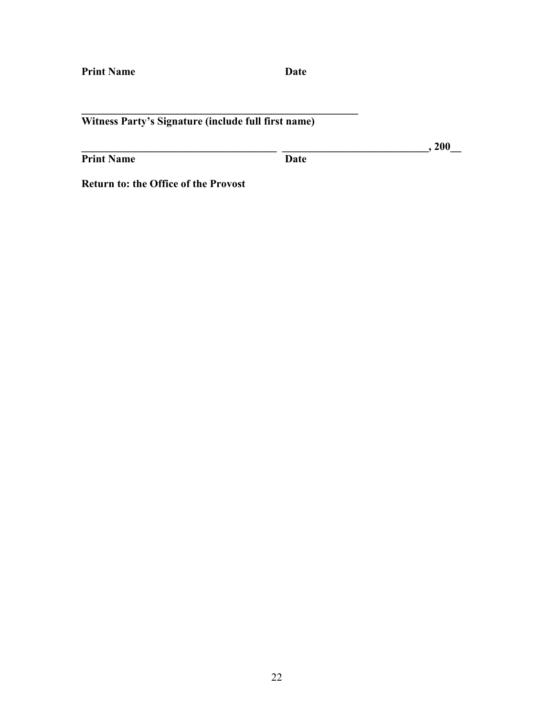#### Witness Party's Signature (include full first name)

\_\_\_\_\_\_\_\_\_\_\_\_\_\_\_\_\_\_\_\_\_\_\_\_\_\_\_\_\_\_\_\_\_\_\_\_\_\_\_\_\_\_\_\_\_\_\_\_\_\_\_

Print Name Date

\_\_\_\_\_\_\_\_\_\_\_\_\_\_\_\_\_\_\_\_\_\_\_\_\_\_\_\_\_\_\_\_\_\_\_\_ \_\_\_\_\_\_\_\_\_\_\_\_\_\_\_\_\_\_\_\_\_\_\_\_\_\_\_, 200\_\_

Return to: the Office of the Provost